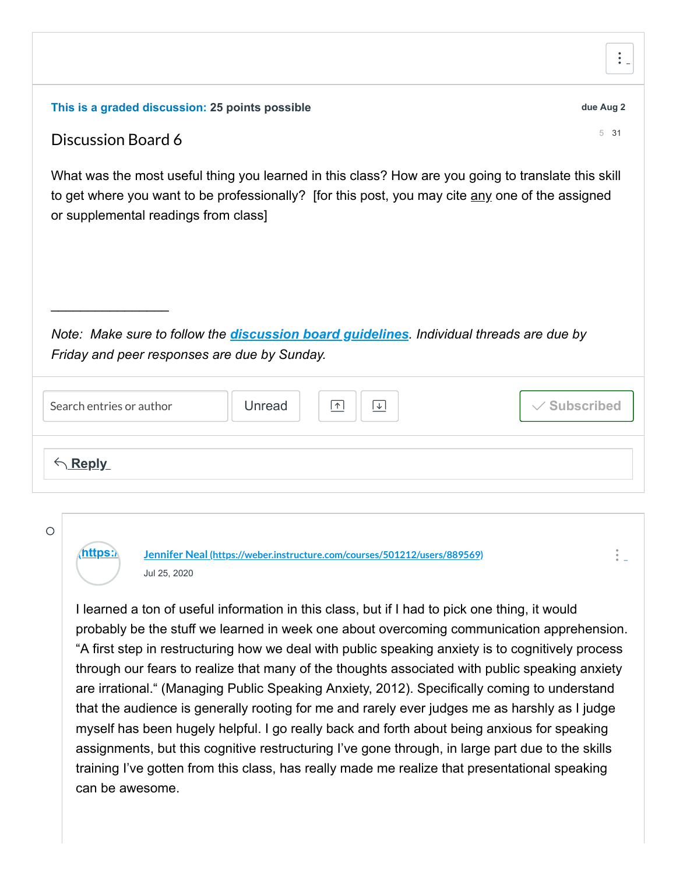| This is a graded discussion: 25 points possible                                                                                                                                                                                                 | due Aug 2         |
|-------------------------------------------------------------------------------------------------------------------------------------------------------------------------------------------------------------------------------------------------|-------------------|
| Discussion Board 6                                                                                                                                                                                                                              | 531               |
| What was the most useful thing you learned in this class? How are you going to translate this skill<br>to get where you want to be professionally? [for this post, you may cite any one of the assigned<br>or supplemental readings from class] |                   |
|                                                                                                                                                                                                                                                 |                   |
| Note: Make sure to follow the <i>discussion board guidelines</i> . Individual threads are due by                                                                                                                                                |                   |
| Friday and peer responses are due by Sunday.                                                                                                                                                                                                    |                   |
| Unread<br>Search entries or author<br>⊡<br> ↑                                                                                                                                                                                                   | <b>Subscribed</b> |
| Reply                                                                                                                                                                                                                                           |                   |
|                                                                                                                                                                                                                                                 |                   |

 $\circ$ 

**[\(https://](https://weber.instructure.com/courses/501212/users/889569) Jennifer Neal [\(https://weber.instructure.com/courses/501212/users/889569\)](https://weber.instructure.com/courses/501212/users/889569)** Jul 25, 2020

I learned a ton of useful information in this class, but if I had to pick one thing, it would probably be the stuff we learned in week one about overcoming communication apprehension. "A first step in restructuring how we deal with public speaking anxiety is to cognitively process through our fears to realize that many of the thoughts associated with public speaking anxiety are irrational." (Managing Public Speaking Anxiety, 2012). Specifically coming to understand that the audience is generally rooting for me and rarely ever judges me as harshly as I judge myself has been hugely helpful. I go really back and forth about being anxious for speaking assignments, but this cognitive restructuring I've gone through, in large part due to the skills training I've gotten from this class, has really made me realize that presentational speaking can be awesome.

 $\ddot{\cdot}$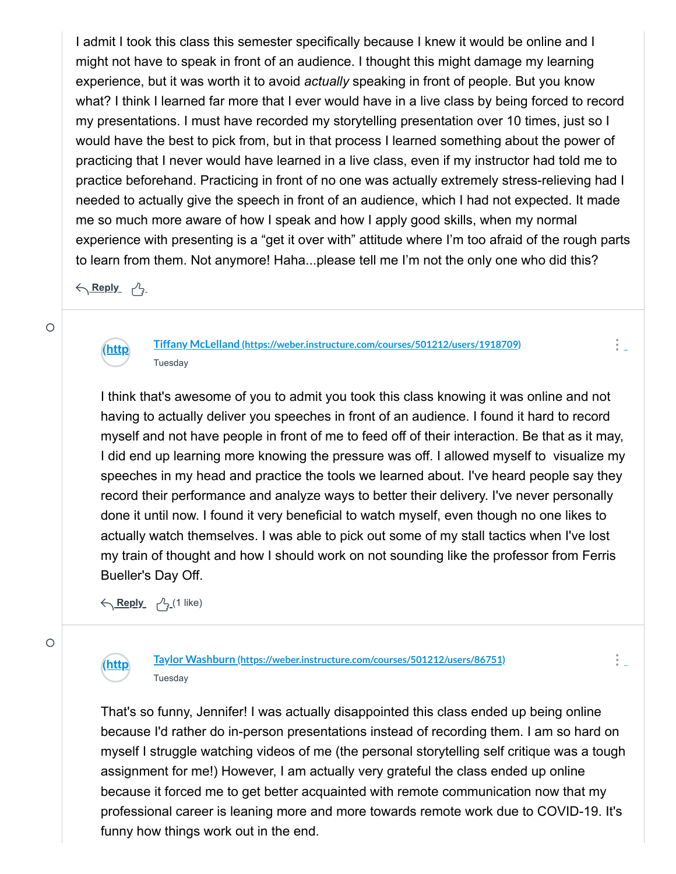I admit I took this class this semester specifically because I knew it would be online and I might not have to speak in front of an audience. I thought this might damage my learning experience, but it was worth it to avoid *actually* speaking in front of people. But you know what? I think I learned far more that I ever would have in a live class by being forced to record my presentations. I must have recorded my storytelling presentation over 10 times, just so I would have the best to pick from, but in that process I learned something about the power of practicing that I never would have learned in a live class, even if my instructor had told me to practice beforehand. Practicing in front of no one was actually extremely stress-relieving had I needed to actually give the speech in front of an audience, which I had not expected. It made me so much more aware of how I speak and how I apply good skills, when my normal experience with presenting is a "get it over with" attitude where I'm too afraid of the rough parts to learn from them. Not anymore! Haha...please tell me I'm not the only one who did this?

<u> トローム トラッシュ</u>



 $\circ$ 

## **Tiffany McLelland [\(https://weber.instructure.com/courses/501212/users/1918709\)](https://weber.instructure.com/courses/501212/users/1918709) Tuesday**

I think that's awesome of you to admit you took this class knowing it was online and not having to actually deliver you speeches in front of an audience. I found it hard to record myself and not have people in front of me to feed off of their interaction. Be that as it may, I did end up learning more knowing the pressure was off. I allowed myself to visualize my speeches in my head and practice the tools we learned about. I've heard people say they record their performance and analyze ways to better their delivery. I've never personally done it until now. I found it very beneficial to watch myself, even though no one likes to actually watch themselves. I was able to pick out some of my stall tactics when I've lost my train of thought and how I should work on not sounding like the professor from Ferris Bueller's Day Off.

 $\frac{1}{2}$ 

 $\frac{1}{2}$ 

<u> Keply パ</u>(1 like)

**[\(http](https://weber.instructure.com/courses/501212/users/86751)**



**Taylor Washburn [\(https://weber.instructure.com/courses/501212/users/86751\)](https://weber.instructure.com/courses/501212/users/86751) Tuesday** 

That's so funny, Jennifer! I was actually disappointed this class ended up being online because I'd rather do in-person presentations instead of recording them. I am so hard on myself I struggle watching videos of me (the personal storytelling self critique was a tough assignment for me!) However, I am actually very grateful the class ended up online because it forced me to get better acquainted with remote communication now that my professional career is leaning more and more towards remote work due to COVID-19. It's funny how things work out in the end.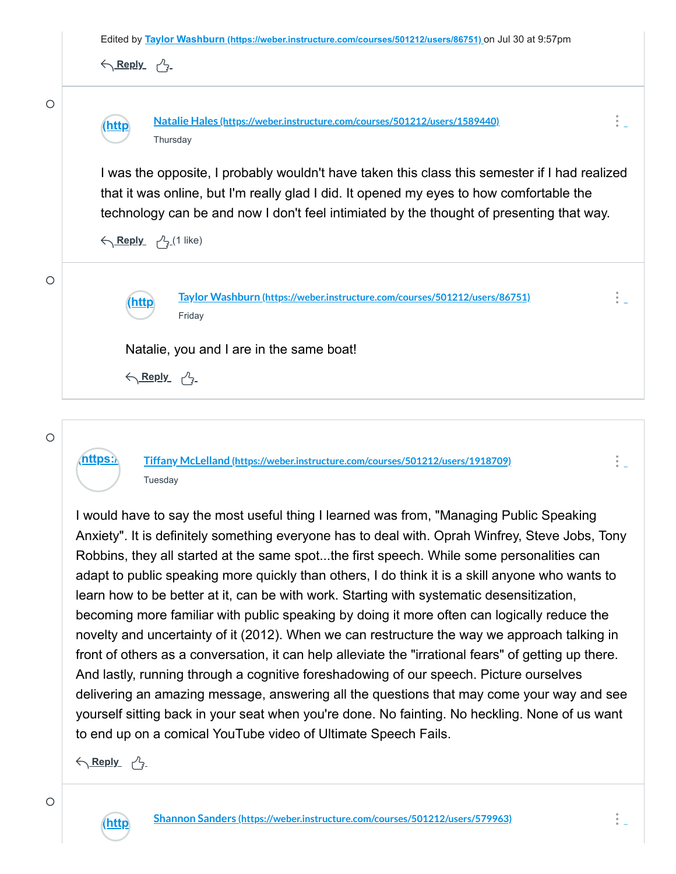

**[\(https://](https://weber.instructure.com/courses/501212/users/1918709) Tiffany McLelland [\(https://weber.instructure.com/courses/501212/users/1918709\)](https://weber.instructure.com/courses/501212/users/1918709)** Tuesday

I would have to say the most useful thing I learned was from, "Managing Public Speaking Anxiety". It is definitely something everyone has to deal with. Oprah Winfrey, Steve Jobs, Tony Robbins, they all started at the same spot...the first speech. While some personalities can adapt to public speaking more quickly than others, I do think it is a skill anyone who wants to learn how to be better at it, can be with work. Starting with systematic desensitization, becoming more familiar with public speaking by doing it more often can logically reduce the novelty and uncertainty of it (2012). When we can restructure the way we approach talking in front of others as a conversation, it can help alleviate the "irrational fears" of getting up there. And lastly, running through a cognitive foreshadowing of our speech. Picture ourselves delivering an amazing message, answering all the questions that may come your way and see yourself sitting back in your seat when you're done. No fainting. No heckling. None of us want to end up on a comical YouTube video of Ultimate Speech Fails.

<u> トローム トラッシュ</u>

 $\bigcirc$ 

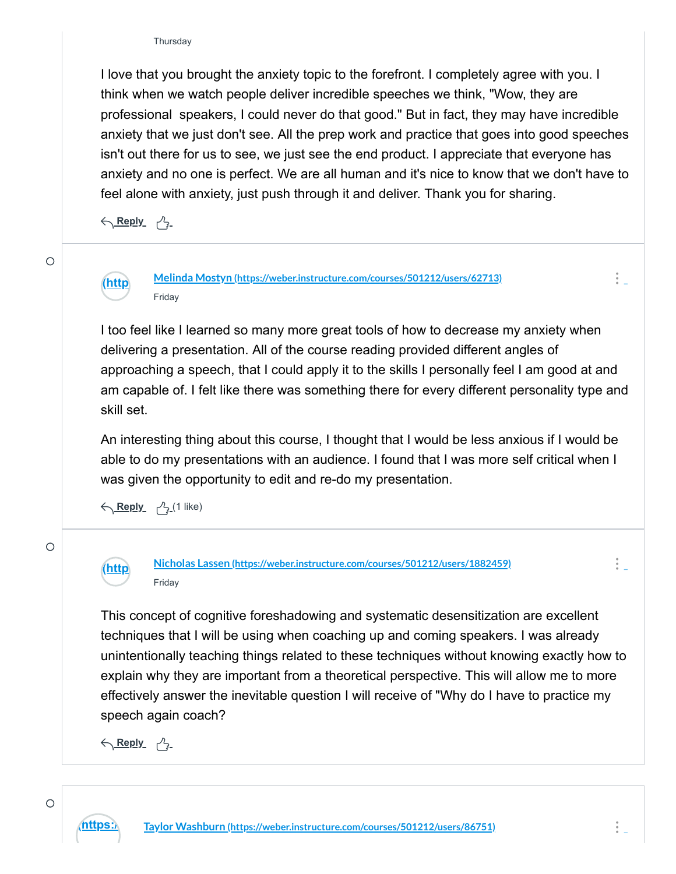I love that you brought the anxiety topic to the forefront. I completely agree with you. I think when we watch people deliver incredible speeches we think, "Wow, they are professional speakers, I could never do that good." But in fact, they may have incredible anxiety that we just don't see. All the prep work and practice that goes into good speeches isn't out there for us to see, we just see the end product. I appreciate that everyone has anxiety and no one is perfect. We are all human and it's nice to know that we don't have to feel alone with anxiety, just push through it and deliver. Thank you for sharing.

<u> トローム トラッシュ</u>

 $\circ$ 

**[\(http](https://weber.instructure.com/courses/501212/users/62713) Melinda Mostyn [\(https://weber.instructure.com/courses/501212/users/62713\)](https://weber.instructure.com/courses/501212/users/62713)** Friday

I too feel like I learned so many more great tools of how to decrease my anxiety when delivering a presentation. All of the course reading provided different angles of approaching a speech, that I could apply it to the skills I personally feel I am good at and am capable of. I felt like there was something there for every different personality type and skill set.

An interesting thing about this course, I thought that I would be less anxious if I would be able to do my presentations with an audience. I found that I was more self critical when I was given the opportunity to edit and re-do my presentation.

<u> Keply パ</u>(1 like)

 $\circ$ 

**[\(http](https://weber.instructure.com/courses/501212/users/1882459) Nicholas Lassen [\(https://weber.instructure.com/courses/501212/users/1882459\)](https://weber.instructure.com/courses/501212/users/1882459)** Friday

This concept of cognitive foreshadowing and systematic desensitization are excellent techniques that I will be using when coaching up and coming speakers. I was already unintentionally teaching things related to these techniques without knowing exactly how to explain why they are important from a theoretical perspective. This will allow me to more effectively answer the inevitable question I will receive of "Why do I have to practice my speech again coach?

<u> トローム トラッシュ</u>

 $\frac{1}{2}$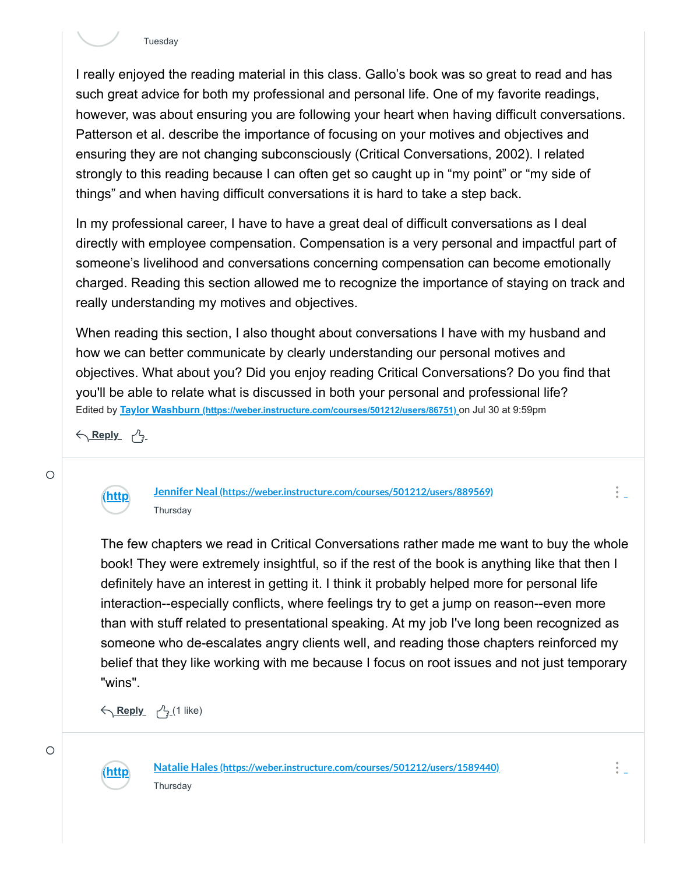

I really enjoyed the reading material in this class. Gallo's book was so great to read and has such great advice for both my professional and personal life. One of my favorite readings, however, was about ensuring you are following your heart when having difficult conversations. Patterson et al. describe the importance of focusing on your motives and objectives and ensuring they are not changing subconsciously (Critical Conversations, 2002). I related strongly to this reading because I can often get so caught up in "my point" or "my side of things" and when having difficult conversations it is hard to take a step back.

In my professional career, I have to have a great deal of difficult conversations as I deal directly with employee compensation. Compensation is a very personal and impactful part of someone's livelihood and conversations concerning compensation can become emotionally charged. Reading this section allowed me to recognize the importance of staying on track and really understanding my motives and objectives.

Edited by **Taylor Washburn [\(https://weber.instructure.com/courses/501212/users/86751\)](https://weber.instructure.com/courses/501212/users/86751)** on Jul 30 at 9:59pm When reading this section, I also thought about conversations I have with my husband and how we can better communicate by clearly understanding our personal motives and objectives. What about you? Did you enjoy reading Critical Conversations? Do you find that you'll be able to relate what is discussed in both your personal and professional life?

<u> トローム トラッシュ</u>



**Jennifer Neal [\(https://weber.instructure.com/courses/501212/users/889569\)](https://weber.instructure.com/courses/501212/users/889569) Thursday** 

The few chapters we read in Critical Conversations rather made me want to buy the whole book! They were extremely insightful, so if the rest of the book is anything like that then I definitely have an interest in getting it. I think it probably helped more for personal life interaction--especially conflicts, where feelings try to get a jump on reason--even more than with stuff related to presentational speaking. At my job I've long been recognized as someone who de-escalates angry clients well, and reading those chapters reinforced my belief that they like working with me because I focus on root issues and not just temporary "wins".

<u> Keply パ</u>(1 like)



**[\(http](https://weber.instructure.com/courses/501212/users/1589440) Natalie Hales [\(https://weber.instructure.com/courses/501212/users/1589440\)](https://weber.instructure.com/courses/501212/users/1589440) Thursday** 

 $\frac{1}{2}$ 

 $\circ$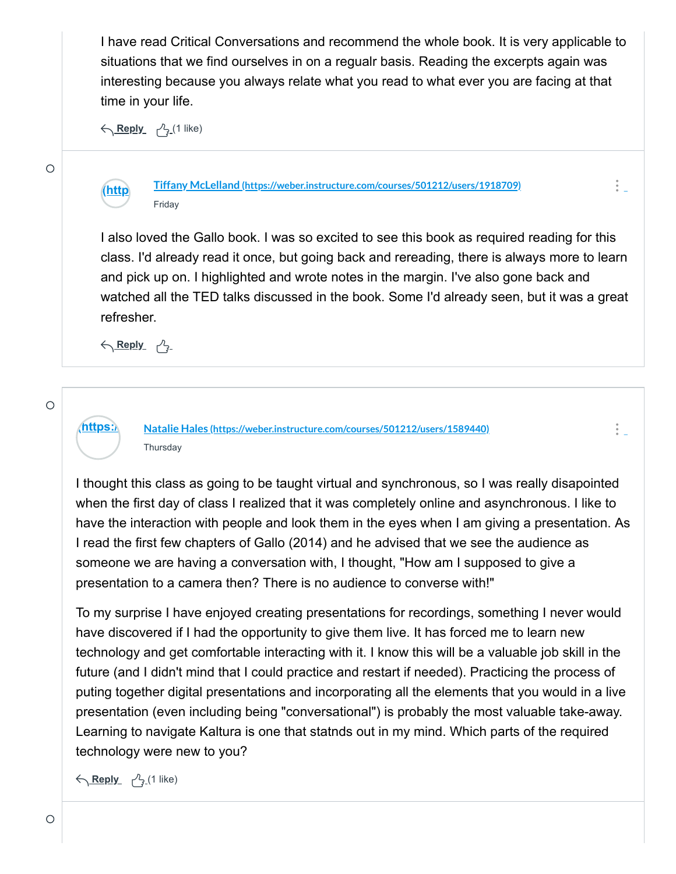I have read Critical Conversations and recommend the whole book. It is very applicable to situations that we find ourselves in on a regualr basis. Reading the excerpts again was interesting because you always relate what you read to what ever you are facing at that time in your life.

<u> Keply パ</u>(1 like)

**[\(http](https://weber.instructure.com/courses/501212/users/1918709)**



**Tiffany McLelland [\(https://weber.instructure.com/courses/501212/users/1918709\)](https://weber.instructure.com/courses/501212/users/1918709)** Friday

I also loved the Gallo book. I was so excited to see this book as required reading for this class. I'd already read it once, but going back and rereading, there is always more to learn and pick up on. I highlighted and wrote notes in the margin. I've also gone back and watched all the TED talks discussed in the book. Some I'd already seen, but it was a great refresher.

 $\frac{1}{2}$  .

 $\frac{1}{2}$  .

<u> トローム トラッシュ</u>

**[\(https://](https://weber.instructure.com/courses/501212/users/1589440) Natalie Hales [\(https://weber.instructure.com/courses/501212/users/1589440\)](https://weber.instructure.com/courses/501212/users/1589440) Thursday** 

I thought this class as going to be taught virtual and synchronous, so I was really disapointed when the first day of class I realized that it was completely online and asynchronous. I like to have the interaction with people and look them in the eyes when I am giving a presentation. As I read the first few chapters of Gallo (2014) and he advised that we see the audience as someone we are having a conversation with, I thought, "How am I supposed to give a presentation to a camera then? There is no audience to converse with!"

To my surprise I have enjoyed creating presentations for recordings, something I never would have discovered if I had the opportunity to give them live. It has forced me to learn new technology and get comfortable interacting with it. I know this will be a valuable job skill in the future (and I didn't mind that I could practice and restart if needed). Practicing the process of puting together digital presentations and incorporating all the elements that you would in a live presentation (even including being "conversational") is probably the most valuable take-away. Learning to navigate Kaltura is one that statnds out in my mind. Which parts of the required technology were new to you?

<u> Keply パ</u>(1 like)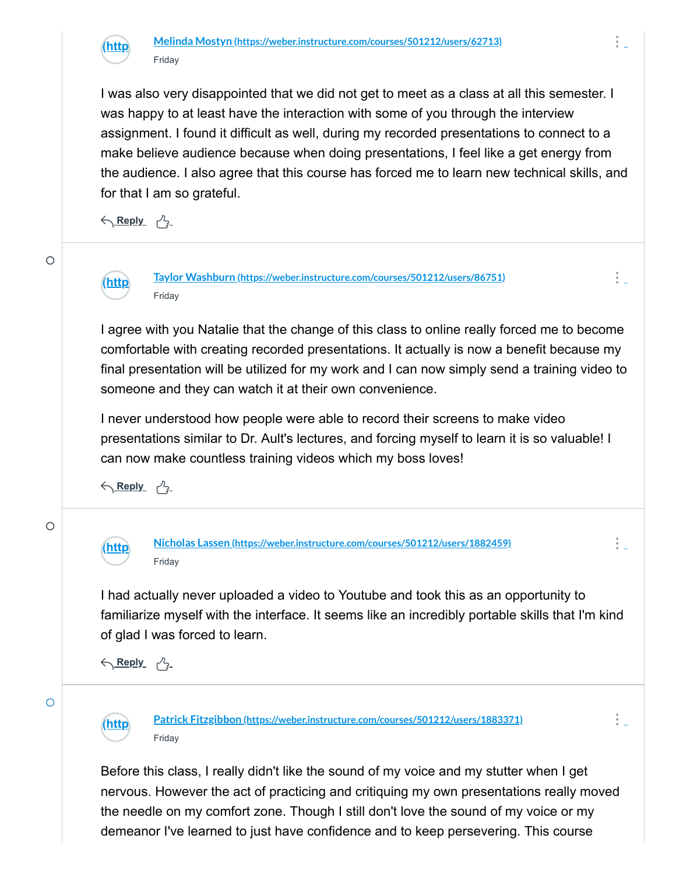

I was also very disappointed that we did not get to meet as a class at all this semester. I was happy to at least have the interaction with some of you through the interview assignment. I found it difficult as well, during my recorded presentations to connect to a make believe audience because when doing presentations, I feel like a get energy from the audience. I also agree that this course has forced me to learn new technical skills, and for that I am so grateful.

<u> トローム トラッシュ</u>

**[\(http](https://weber.instructure.com/courses/501212/users/86751)**

 $\circ$ 

**Taylor Washburn [\(https://weber.instructure.com/courses/501212/users/86751\)](https://weber.instructure.com/courses/501212/users/86751)** Friday

I agree with you Natalie that the change of this class to online really forced me to become comfortable with creating recorded presentations. It actually is now a benefit because my final presentation will be utilized for my work and I can now simply send a training video to someone and they can watch it at their own convenience.

I never understood how people were able to record their screens to make video presentations similar to Dr. Ault's lectures, and forcing myself to learn it is so valuable! I can now make countless training videos which my boss loves!

<u> トローム トラッシュ</u>



**[\(http](https://weber.instructure.com/courses/501212/users/1882459) Nicholas Lassen [\(https://weber.instructure.com/courses/501212/users/1882459\)](https://weber.instructure.com/courses/501212/users/1882459)** Friday

 $\frac{1}{2}$ 

 $\frac{1}{2}$ 

I had actually never uploaded a video to Youtube and took this as an opportunity to familiarize myself with the interface. It seems like an incredibly portable skills that I'm kind of glad I was forced to learn.

<u> トローム トラッシュ</u>

**[\(http](https://weber.instructure.com/courses/501212/users/1883371)**



 $\circ$ 

**Patrick Fitzgibbon [\(https://weber.instructure.com/courses/501212/users/1883371\)](https://weber.instructure.com/courses/501212/users/1883371)** Friday

Before this class, I really didn't like the sound of my voice and my stutter when I get nervous. However the act of practicing and critiquing my own presentations really moved the needle on my comfort zone. Though I still don't love the sound of my voice or my demeanor I've learned to just have confidence and to keep persevering. This course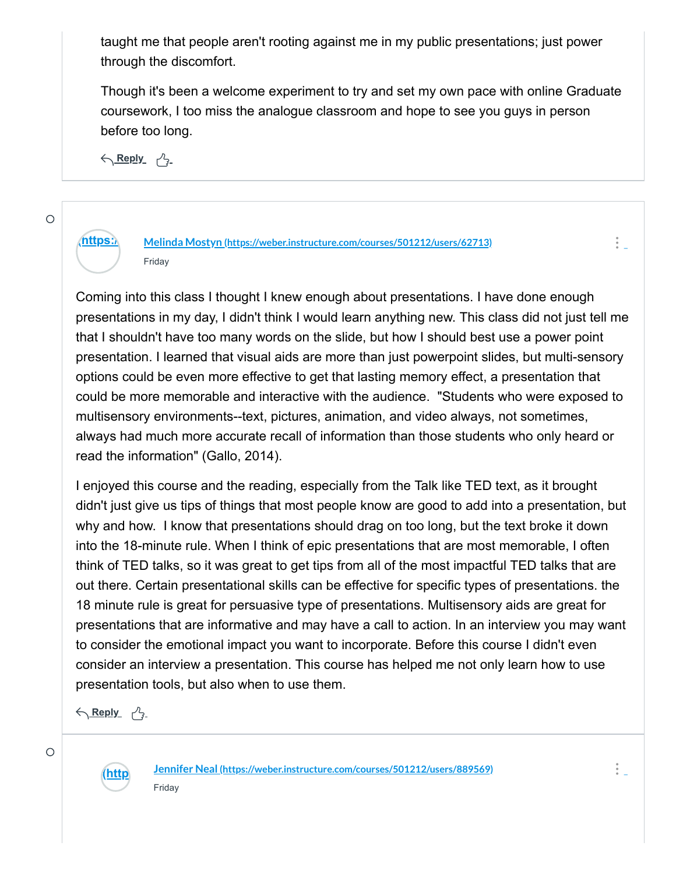taught me that people aren't rooting against me in my public presentations; just power through the discomfort.

Though it's been a welcome experiment to try and set my own pace with online Graduate coursework, I too miss the analogue classroom and hope to see you guys in person before too long.

<u> トローム トラッシュ</u>

**[\(https://](https://weber.instructure.com/courses/501212/users/62713) Melinda Mostyn [\(https://weber.instructure.com/courses/501212/users/62713\)](https://weber.instructure.com/courses/501212/users/62713)** Friday

Coming into this class I thought I knew enough about presentations. I have done enough presentations in my day, I didn't think I would learn anything new. This class did not just tell me that I shouldn't have too many words on the slide, but how I should best use a power point presentation. I learned that visual aids are more than just powerpoint slides, but multi-sensory options could be even more effective to get that lasting memory effect, a presentation that could be more memorable and interactive with the audience. "Students who were exposed to multisensory environments--text, pictures, animation, and video always, not sometimes, always had much more accurate recall of information than those students who only heard or read the information" (Gallo, 2014).

I enjoyed this course and the reading, especially from the Talk like TED text, as it brought didn't just give us tips of things that most people know are good to add into a presentation, but why and how. I know that presentations should drag on too long, but the text broke it down into the 18-minute rule. When I think of epic presentations that are most memorable, I often think of TED talks, so it was great to get tips from all of the most impactful TED talks that are out there. Certain presentational skills can be effective for specific types of presentations. the 18 minute rule is great for persuasive type of presentations. Multisensory aids are great for presentations that are informative and may have a call to action. In an interview you may want to consider the emotional impact you want to incorporate. Before this course I didn't even consider an interview a presentation. This course has helped me not only learn how to use presentation tools, but also when to use them.

<u> トローム トラッシュ</u>



**Jennifer Neal [\(https://weber.instructure.com/courses/501212/users/889569\)](https://weber.instructure.com/courses/501212/users/889569)** Friday

 $\bigcirc$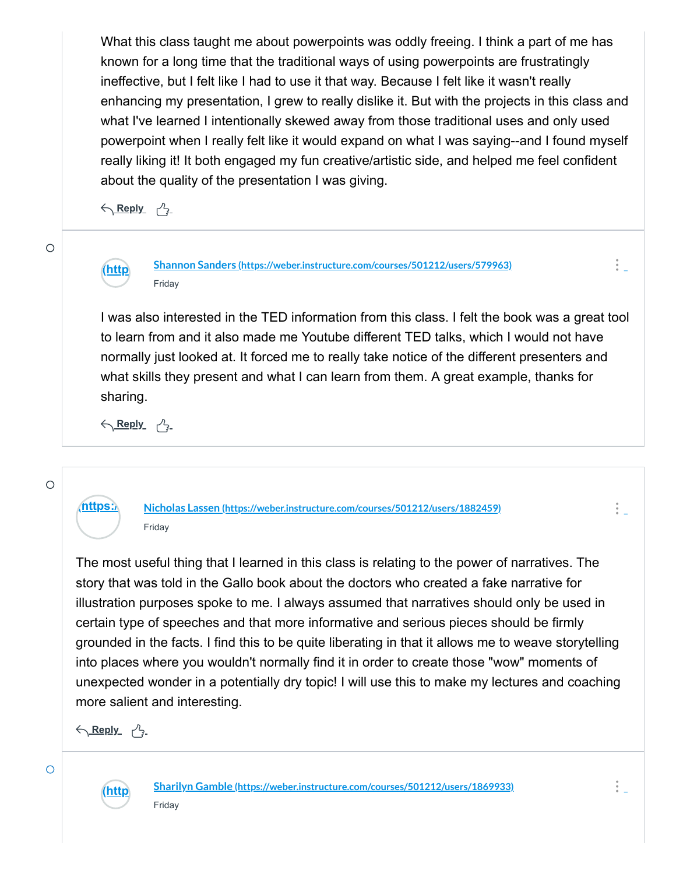What this class taught me about powerpoints was oddly freeing. I think a part of me has known for a long time that the traditional ways of using powerpoints are frustratingly ineffective, but I felt like I had to use it that way. Because I felt like it wasn't really enhancing my presentation, I grew to really dislike it. But with the projects in this class and what I've learned I intentionally skewed away from those traditional uses and only used powerpoint when I really felt like it would expand on what I was saying--and I found myself really liking it! It both engaged my fun creative/artistic side, and helped me feel confident about the quality of the presentation I was giving.

<u> トローム トラッシュ</u>



**Shannon Sanders [\(https://weber.instructure.com/courses/501212/users/579963\)](https://weber.instructure.com/courses/501212/users/579963)** Friday

I was also interested in the TED information from this class. I felt the book was a great tool to learn from and it also made me Youtube different TED talks, which I would not have normally just looked at. It forced me to really take notice of the different presenters and what skills they present and what I can learn from them. A great example, thanks for sharing.

<u> トローム トラッシュ</u>

#### $\bigcirc$

 $\circ$ 

 $\bigcirc$ 



**[\(https://](https://weber.instructure.com/courses/501212/users/1882459) Nicholas Lassen [\(https://weber.instructure.com/courses/501212/users/1882459\)](https://weber.instructure.com/courses/501212/users/1882459)** Friday

The most useful thing that I learned in this class is relating to the power of narratives. The story that was told in the Gallo book about the doctors who created a fake narrative for illustration purposes spoke to me. I always assumed that narratives should only be used in certain type of speeches and that more informative and serious pieces should be firmly grounded in the facts. I find this to be quite liberating in that it allows me to weave storytelling into places where you wouldn't normally find it in order to create those "wow" moments of unexpected wonder in a potentially dry topic! I will use this to make my lectures and coaching more salient and interesting.

<u> トローム トラッシュ</u>



**Sharilyn Gamble [\(https://weber.instructure.com/courses/501212/users/1869933\)](https://weber.instructure.com/courses/501212/users/1869933)** Friday

 $\frac{1}{2}$  .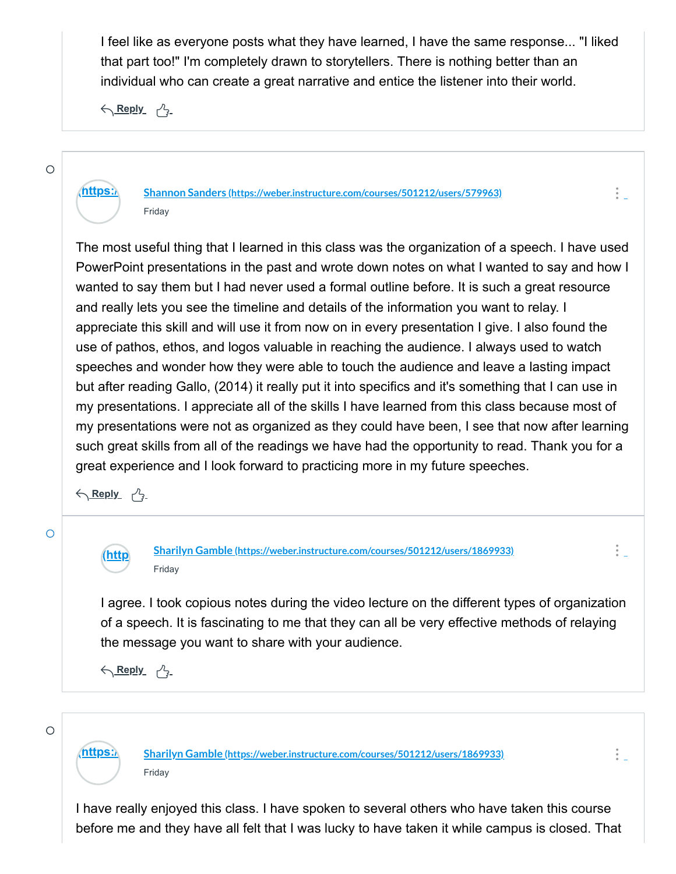I feel like as everyone posts what they have learned, I have the same response... "I liked that part too!" I'm completely drawn to storytellers. There is nothing better than an individual who can create a great narrative and entice the listener into their world.

 $\frac{1}{2}$ 

 $\frac{1}{2}$  .

 $\frac{1}{2}$ 

<u> トローム トラッシュ</u>

### $\circ$

# **[\(https://](https://weber.instructure.com/courses/501212/users/579963) Shannon Sanders [\(https://weber.instructure.com/courses/501212/users/579963\)](https://weber.instructure.com/courses/501212/users/579963)** Friday

The most useful thing that I learned in this class was the organization of a speech. I have used PowerPoint presentations in the past and wrote down notes on what I wanted to say and how I wanted to say them but I had never used a formal outline before. It is such a great resource and really lets you see the timeline and details of the information you want to relay. I appreciate this skill and will use it from now on in every presentation I give. I also found the use of pathos, ethos, and logos valuable in reaching the audience. I always used to watch speeches and wonder how they were able to touch the audience and leave a lasting impact but after reading Gallo, (2014) it really put it into specifics and it's something that I can use in my presentations. I appreciate all of the skills I have learned from this class because most of my presentations were not as organized as they could have been, I see that now after learning such great skills from all of the readings we have had the opportunity to read. Thank you for a great experience and I look forward to practicing more in my future speeches.

<u> トローム トラッシュ</u>

**[\(http](https://weber.instructure.com/courses/501212/users/1869933)**



**Sharilyn Gamble [\(https://weber.instructure.com/courses/501212/users/1869933\)](https://weber.instructure.com/courses/501212/users/1869933)** Friday

I agree. I took copious notes during the video lecture on the different types of organization of a speech. It is fascinating to me that they can all be very effective methods of relaying the message you want to share with your audience.

<u> トローム トラッシュ</u>

 $\circ$ 

**[\(https://](https://weber.instructure.com/courses/501212/users/1869933) Sharilyn Gamble [\(https://weber.instructure.com/courses/501212/users/1869933\)](https://weber.instructure.com/courses/501212/users/1869933)** Friday

I have really enjoyed this class. I have spoken to several others who have taken this course before me and they have all felt that I was lucky to have taken it while campus is closed. That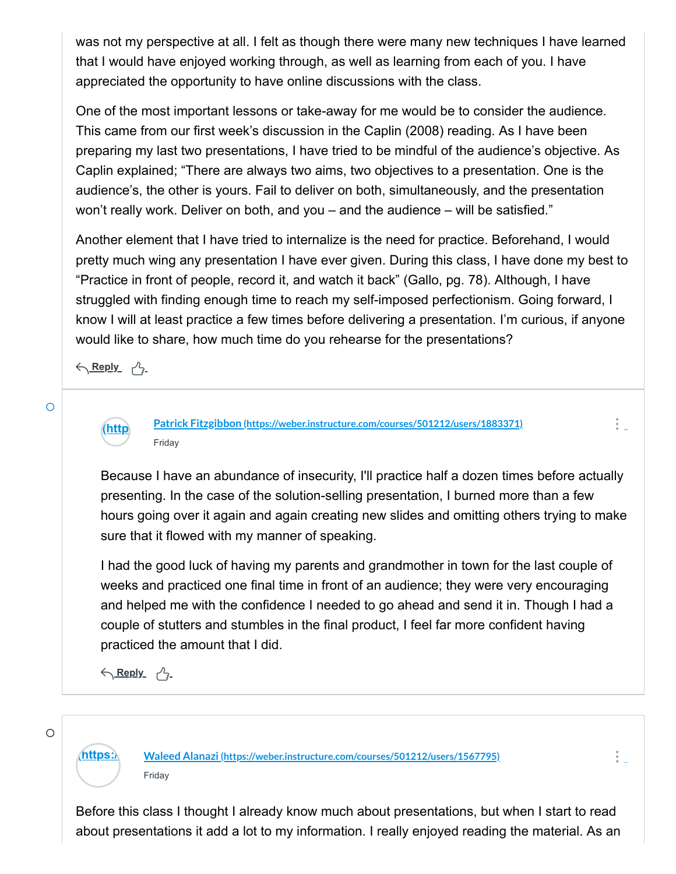was not my perspective at all. I felt as though there were many new techniques I have learned that I would have enjoyed working through, as well as learning from each of you. I have appreciated the opportunity to have online discussions with the class.

One of the most important lessons or take-away for me would be to consider the audience. This came from our first week's discussion in the Caplin (2008) reading. As I have been preparing my last two presentations, I have tried to be mindful of the audience's objective. As Caplin explained; "There are always two aims, two objectives to a presentation. One is the audience's, the other is yours. Fail to deliver on both, simultaneously, and the presentation won't really work. Deliver on both, and you – and the audience – will be satisfied."

Another element that I have tried to internalize is the need for practice. Beforehand, I would pretty much wing any presentation I have ever given. During this class, I have done my best to "Practice in front of people, record it, and watch it back" (Gallo, pg. 78). Although, I have struggled with finding enough time to reach my self-imposed perfectionism. Going forward, I know I will at least practice a few times before delivering a presentation. I'm curious, if anyone would like to share, how much time do you rehearse for the presentations?

<u> トローム トラッシュ</u>

**[\(http](https://weber.instructure.com/courses/501212/users/1883371)**



**Patrick Fitzgibbon [\(https://weber.instructure.com/courses/501212/users/1883371\)](https://weber.instructure.com/courses/501212/users/1883371)** Friday

Because I have an abundance of insecurity, I'll practice half a dozen times before actually presenting. In the case of the solution-selling presentation, I burned more than a few hours going over it again and again creating new slides and omitting others trying to make sure that it flowed with my manner of speaking.

 $\frac{1}{2}$ 

 $\frac{1}{2}$  .

I had the good luck of having my parents and grandmother in town for the last couple of weeks and practiced one final time in front of an audience; they were very encouraging and helped me with the confidence I needed to go ahead and send it in. Though I had a couple of stutters and stumbles in the final product, I feel far more confident having practiced the amount that I did.

<u> トローム トラッシュ</u>

 $\circ$ 

**[\(https://](https://weber.instructure.com/courses/501212/users/1567795) Waleed Alanazi [\(https://weber.instructure.com/courses/501212/users/1567795\)](https://weber.instructure.com/courses/501212/users/1567795)** Friday

Before this class I thought I already know much about presentations, but when I start to read about presentations it add a lot to my information. I really enjoyed reading the material. As an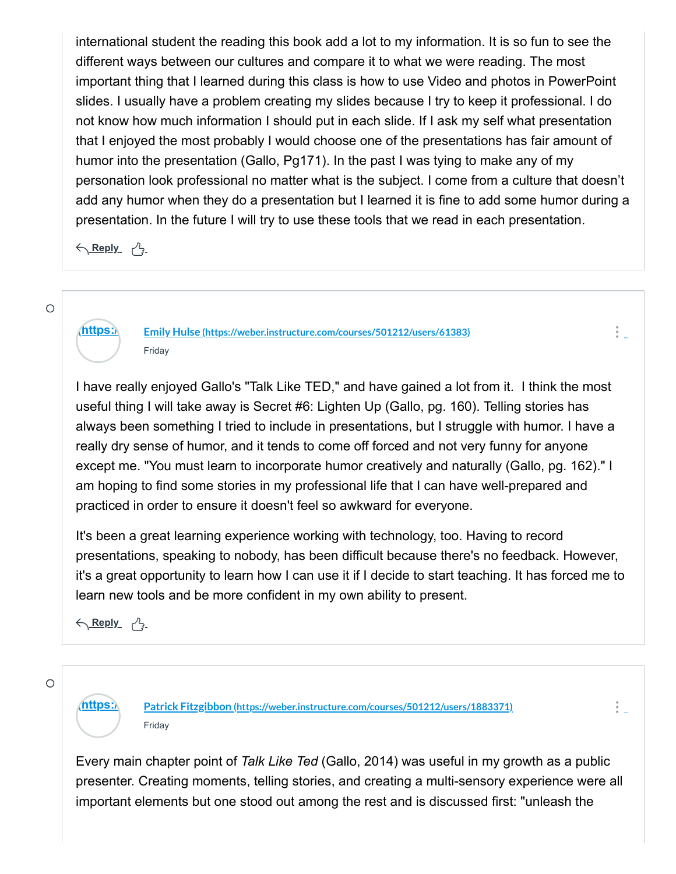international student the reading this book add a lot to my information. It is so fun to see the different ways between our cultures and compare it to what we were reading. The most important thing that I learned during this class is how to use Video and photos in PowerPoint slides. I usually have a problem creating my slides because I try to keep it professional. I do not know how much information I should put in each slide. If I ask my self what presentation that I enjoyed the most probably I would choose one of the presentations has fair amount of humor into the presentation (Gallo, Pg171). In the past I was tying to make any of my personation look professional no matter what is the subject. I come from a culture that doesn't add any humor when they do a presentation but I learned it is fine to add some humor during a presentation. In the future I will try to use these tools that we read in each presentation.

<u> トローム トラッシュ</u>

 $\circ$ 

**[\(https://](https://weber.instructure.com/courses/501212/users/61383) Emily Hulse [\(https://weber.instructure.com/courses/501212/users/61383\)](https://weber.instructure.com/courses/501212/users/61383)** Friday

I have really enjoyed Gallo's "Talk Like TED," and have gained a lot from it. I think the most useful thing I will take away is Secret #6: Lighten Up (Gallo, pg. 160). Telling stories has always been something I tried to include in presentations, but I struggle with humor. I have a really dry sense of humor, and it tends to come off forced and not very funny for anyone except me. "You must learn to incorporate humor creatively and naturally (Gallo, pg. 162)." I am hoping to find some stories in my professional life that I can have well-prepared and practiced in order to ensure it doesn't feel so awkward for everyone.

 $\frac{1}{2}$  .

 $\frac{1}{2}$ 

It's been a great learning experience working with technology, too. Having to record presentations, speaking to nobody, has been difficult because there's no feedback. However, it's a great opportunity to learn how I can use it if I decide to start teaching. It has forced me to learn new tools and be more confident in my own ability to present.

<u> トローム トラッシュ</u>

 $\bigcirc$ 

**[\(https://](https://weber.instructure.com/courses/501212/users/1883371) Patrick Fitzgibbon [\(https://weber.instructure.com/courses/501212/users/1883371\)](https://weber.instructure.com/courses/501212/users/1883371)** Friday

Every main chapter point of *Talk Like Ted* (Gallo, 2014) was useful in my growth as a public presenter. Creating moments, telling stories, and creating a multi-sensory experience were all important elements but one stood out among the rest and is discussed first: "unleash the